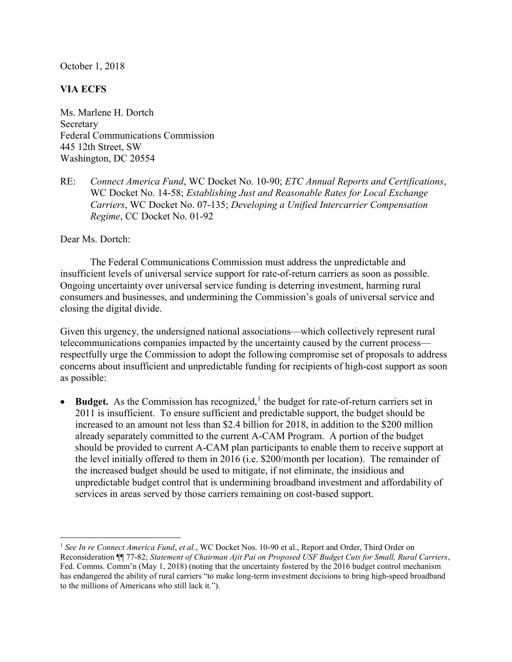October 1, 2018

## VIA ECFS

Ms. Marlene H. Dortch Secretary Federal Communications Commission 445 12th Street, SW Washington, DC 20554

RE: Connect America Fund, WC Docket No. 10-90; ETC Annual Reports and Certifications, WC Docket No. 14-58; *Establishing Just and Reasonable Rates for Local Exchange* Carriers, WC Docket No. 07-135; Developing a Unified Intercarrier Compensation Regime, CC Docket No. 01-92

Dear Ms. Dortch:

 $\overline{a}$ 

The Federal Communications Commission must address the unpredictable and insufficient levels of universal service support for rate-of-return carriers as soon as possible. Ongoing uncertainty over universal service funding is deterring investment, harming rural consumers and businesses, and undermining the Commission's goals of universal service and closing the digital divide.

Given this urgency, the undersigned national associations—which collectively represent rural telecommunications companies impacted by the uncertainty caused by the current process respectfully urge the Commission to adopt the following compromise set of proposals to address concerns about insufficient and unpredictable funding for recipients of high-cost support as soon as possible:

• Budget. As the Commission has recognized,<sup>1</sup> the budget for rate-of-return carriers set in 2011 is insufficient. To ensure sufficient and predictable support, the budget should be increased to an amount not less than \$2.4 billion for 2018, in addition to the \$200 million already separately committed to the current A-CAM Program. A portion of the budget should be provided to current A-CAM plan participants to enable them to receive support at the level initially offered to them in 2016 (i.e. \$200/month per location). The remainder of the increased budget should be used to mitigate, if not eliminate, the insidious and unpredictable budget control that is undermining broadband investment and affordability of services in areas served by those carriers remaining on cost-based support.

<sup>&</sup>lt;sup>1</sup> See In re Connect America Fund, et al., WC Docket Nos. 10-90 et al., Report and Order, Third Order on Reconsideration ¶¶ 77-82; Statement of Chairman Ajit Pai on Proposed USF Budget Cuts for Small, Rural Carriers, Fed. Comms. Comm'n (May 1, 2018) (noting that the uncertainty fostered by the 2016 budget control mechanism has endangered the ability of rural carriers "to make long-term investment decisions to bring high-speed broadband to the millions of Americans who still lack it.").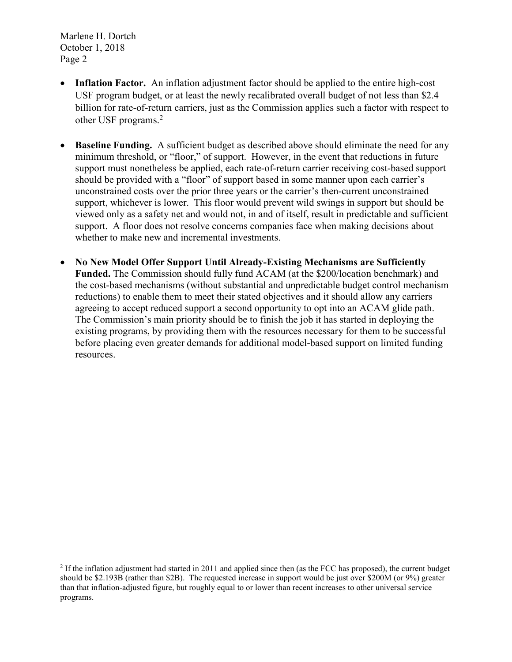Marlene H. Dortch October 1, 2018 Page 2

 $\overline{a}$ 

- Inflation Factor. An inflation adjustment factor should be applied to the entire high-cost USF program budget, or at least the newly recalibrated overall budget of not less than \$2.4 billion for rate-of-return carriers, just as the Commission applies such a factor with respect to other USF programs.<sup>2</sup>
- Baseline Funding. A sufficient budget as described above should eliminate the need for any minimum threshold, or "floor," of support. However, in the event that reductions in future support must nonetheless be applied, each rate-of-return carrier receiving cost-based support should be provided with a "floor" of support based in some manner upon each carrier's unconstrained costs over the prior three years or the carrier's then-current unconstrained support, whichever is lower. This floor would prevent wild swings in support but should be viewed only as a safety net and would not, in and of itself, result in predictable and sufficient support. A floor does not resolve concerns companies face when making decisions about whether to make new and incremental investments.
- No New Model Offer Support Until Already-Existing Mechanisms are Sufficiently Funded. The Commission should fully fund ACAM (at the \$200/location benchmark) and the cost-based mechanisms (without substantial and unpredictable budget control mechanism reductions) to enable them to meet their stated objectives and it should allow any carriers agreeing to accept reduced support a second opportunity to opt into an ACAM glide path. The Commission's main priority should be to finish the job it has started in deploying the existing programs, by providing them with the resources necessary for them to be successful before placing even greater demands for additional model-based support on limited funding resources.

 $<sup>2</sup>$  If the inflation adjustment had started in 2011 and applied since then (as the FCC has proposed), the current budget</sup> should be \$2.193B (rather than \$2B). The requested increase in support would be just over \$200M (or 9%) greater than that inflation-adjusted figure, but roughly equal to or lower than recent increases to other universal service programs.